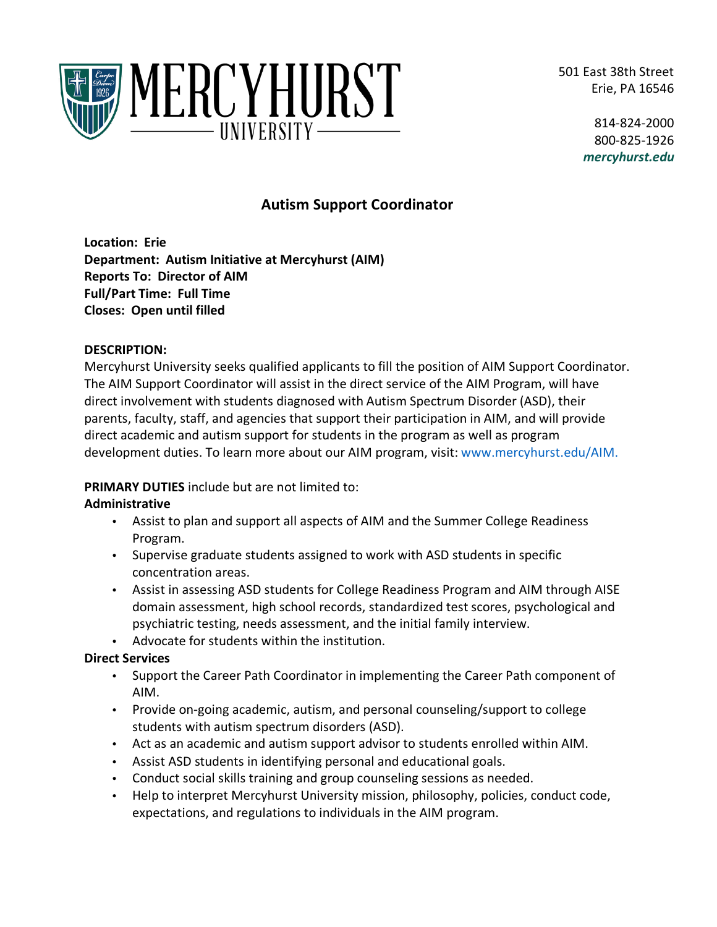501 East 38th Street Erie, PA 16546



814-824-2000 800-825-1926 *mercyhurst.edu*

# **Autism Support Coordinator**

**Location: Erie Department: Autism Initiative at Mercyhurst (AIM) Reports To: Director of AIM Full/Part Time: Full Time Closes: Open until filled**

#### **DESCRIPTION:**

Mercyhurst University seeks qualified applicants to fill the position of AIM Support Coordinator. The AIM Support Coordinator will assist in the direct service of the AIM Program, will have direct involvement with students diagnosed with Autism Spectrum Disorder (ASD), their parents, faculty, staff, and agencies that support their participation in AIM, and will provide direct academic and autism support for students in the program as well as program development duties. To learn more about our AIM program, visit: [www.mercyhurst.edu/AIM.](http://www.mercyhurst.edu/AIM)

## **PRIMARY DUTIES** include but are not limited to:

## **Administrative**

- Assist to plan and support all aspects of AIM and the Summer College Readiness Program.
- Supervise graduate students assigned to work with ASD students in specific concentration areas.
- Assist in assessing ASD students for College Readiness Program and AIM through AISE domain assessment, high school records, standardized test scores, psychological and psychiatric testing, needs assessment, and the initial family interview.
- Advocate for students within the institution.

## **Direct Services**

- Support the Career Path Coordinator in implementing the Career Path component of AIM.
- Provide on-going academic, autism, and personal counseling/support to college students with autism spectrum disorders (ASD).
- Act as an academic and autism support advisor to students enrolled within AIM.
- Assist ASD students in identifying personal and educational goals.
- Conduct social skills training and group counseling sessions as needed.
- Help to interpret Mercyhurst University mission, philosophy, policies, conduct code, expectations, and regulations to individuals in the AIM program.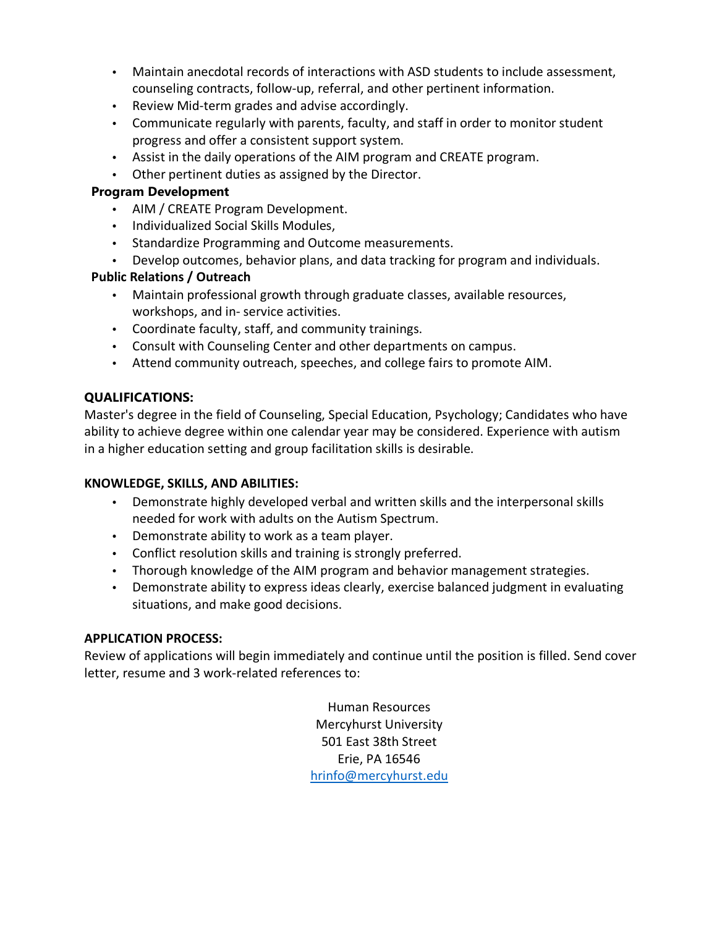- Maintain anecdotal records of interactions with ASD students to include assessment, counseling contracts, follow-up, referral, and other pertinent information.
- Review Mid-term grades and advise accordingly.
- Communicate regularly with parents, faculty, and staff in order to monitor student progress and offer a consistent support system.
- Assist in the daily operations of the AIM program and CREATE program.
- Other pertinent duties as assigned by the Director.

# **Program Development**

- AIM / CREATE Program Development.
- Individualized Social Skills Modules,
- Standardize Programming and Outcome measurements.
- Develop outcomes, behavior plans, and data tracking for program and individuals.

# **Public Relations / Outreach**

- Maintain professional growth through graduate classes, available resources, workshops, and in- service activities.
- Coordinate faculty, staff, and community trainings.
- Consult with Counseling Center and other departments on campus.
- Attend community outreach, speeches, and college fairs to promote AIM.

# **QUALIFICATIONS:**

Master's degree in the field of Counseling, Special Education, Psychology; Candidates who have ability to achieve degree within one calendar year may be considered. Experience with autism in a higher education setting and group facilitation skills is desirable.

## **KNOWLEDGE, SKILLS, AND ABILITIES:**

- Demonstrate highly developed verbal and written skills and the interpersonal skills needed for work with adults on the Autism Spectrum.
- Demonstrate ability to work as a team player.
- Conflict resolution skills and training is strongly preferred.
- Thorough knowledge of the AIM program and behavior management strategies.
- Demonstrate ability to express ideas clearly, exercise balanced judgment in evaluating situations, and make good decisions.

## **APPLICATION PROCESS:**

Review of applications will begin immediately and continue until the position is filled. Send cover letter, resume and 3 work-related references to:

> Human Resources Mercyhurst University 501 East 38th Street Erie, PA 16546 [hrinfo@mercyhurst.edu](mailto:hrinfo@mercyhurst.edu)